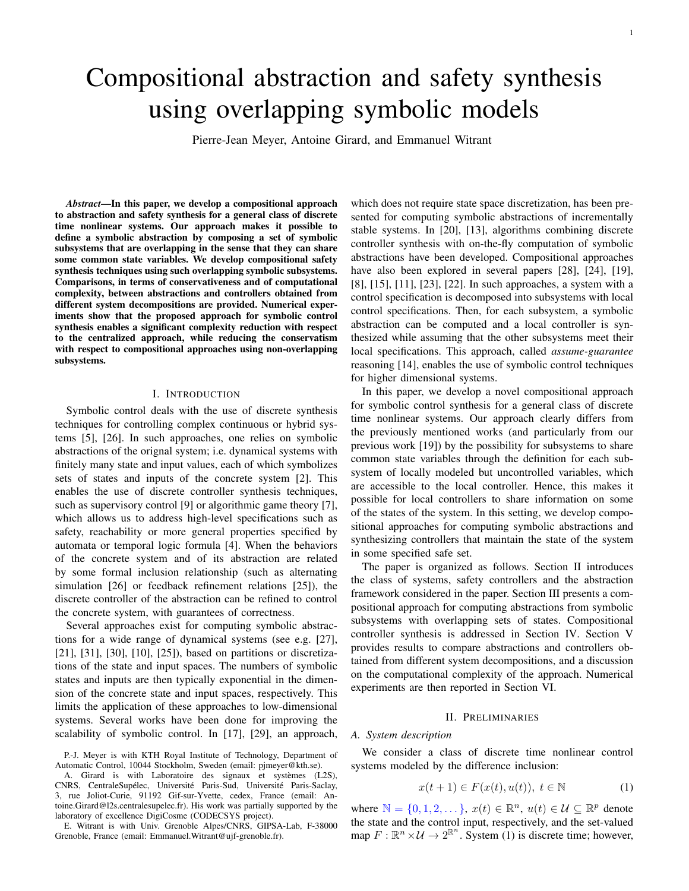# Compositional abstraction and safety synthesis using overlapping symbolic models

Pierre-Jean Meyer, Antoine Girard, and Emmanuel Witrant

*Abstract*—In this paper, we develop a compositional approach to abstraction and safety synthesis for a general class of discrete time nonlinear systems. Our approach makes it possible to define a symbolic abstraction by composing a set of symbolic subsystems that are overlapping in the sense that they can share some common state variables. We develop compositional safety synthesis techniques using such overlapping symbolic subsystems. Comparisons, in terms of conservativeness and of computational complexity, between abstractions and controllers obtained from different system decompositions are provided. Numerical experiments show that the proposed approach for symbolic control synthesis enables a significant complexity reduction with respect to the centralized approach, while reducing the conservatism with respect to compositional approaches using non-overlapping subsystems.

#### I. INTRODUCTION

Symbolic control deals with the use of discrete synthesis techniques for controlling complex continuous or hybrid systems [5], [26]. In such approaches, one relies on symbolic abstractions of the orignal system; i.e. dynamical systems with finitely many state and input values, each of which symbolizes sets of states and inputs of the concrete system [2]. This enables the use of discrete controller synthesis techniques, such as supervisory control [9] or algorithmic game theory [7], which allows us to address high-level specifications such as safety, reachability or more general properties specified by automata or temporal logic formula [4]. When the behaviors of the concrete system and of its abstraction are related by some formal inclusion relationship (such as alternating simulation [26] or feedback refinement relations [25]), the discrete controller of the abstraction can be refined to control the concrete system, with guarantees of correctness.

Several approaches exist for computing symbolic abstractions for a wide range of dynamical systems (see e.g. [27], [21], [31], [30], [10], [25]), based on partitions or discretizations of the state and input spaces. The numbers of symbolic states and inputs are then typically exponential in the dimension of the concrete state and input spaces, respectively. This limits the application of these approaches to low-dimensional systems. Several works have been done for improving the scalability of symbolic control. In [17], [29], an approach,

A. Girard is with Laboratoire des signaux et systèmes (L2S), CNRS, CentraleSupélec, Université Paris-Sud, Université Paris-Saclay, 3, rue Joliot-Curie, 91192 Gif-sur-Yvette, cedex, France (email: Antoine.Girard@l2s.centralesupelec.fr). His work was partially supported by the laboratory of excellence DigiCosme (CODECSYS project).

E. Witrant is with Univ. Grenoble Alpes/CNRS, GIPSA-Lab, F-38000 Grenoble, France (email: Emmanuel.Witrant@ujf-grenoble.fr).

which does not require state space discretization, has been presented for computing symbolic abstractions of incrementally stable systems. In [20], [13], algorithms combining discrete controller synthesis with on-the-fly computation of symbolic abstractions have been developed. Compositional approaches have also been explored in several papers [28], [24], [19], [8], [15], [11], [23], [22]. In such approaches, a system with a control specification is decomposed into subsystems with local control specifications. Then, for each subsystem, a symbolic abstraction can be computed and a local controller is synthesized while assuming that the other subsystems meet their local specifications. This approach, called *assume-guarantee* reasoning [14], enables the use of symbolic control techniques for higher dimensional systems.

In this paper, we develop a novel compositional approach for symbolic control synthesis for a general class of discrete time nonlinear systems. Our approach clearly differs from the previously mentioned works (and particularly from our previous work [19]) by the possibility for subsystems to share common state variables through the definition for each subsystem of locally modeled but uncontrolled variables, which are accessible to the local controller. Hence, this makes it possible for local controllers to share information on some of the states of the system. In this setting, we develop compositional approaches for computing symbolic abstractions and synthesizing controllers that maintain the state of the system in some specified safe set.

The paper is organized as follows. Section II introduces the class of systems, safety controllers and the abstraction framework considered in the paper. Section III presents a compositional approach for computing abstractions from symbolic subsystems with overlapping sets of states. Compositional controller synthesis is addressed in Section IV. Section V provides results to compare abstractions and controllers obtained from different system decompositions, and a discussion on the computational complexity of the approach. Numerical experiments are then reported in Section VI.

#### II. PRELIMINARIES

## *A. System description*

We consider a class of discrete time nonlinear control systems modeled by the difference inclusion:

$$
x(t+1) \in F(x(t), u(t)), \ t \in \mathbb{N}
$$
 (1)

where  $\mathbb{N} = \{0, 1, 2, \dots\}$ ,  $x(t) \in \mathbb{R}^n$ ,  $u(t) \in \mathcal{U} \subseteq \mathbb{R}^p$  denote the state and the control input, respectively, and the set-valued map  $F: \mathbb{R}^n \times \mathcal{U} \to 2^{\mathbb{R}^n}$ . System (1) is discrete time; however,

P.-J. Meyer is with KTH Royal Institute of Technology, Department of Automatic Control, 10044 Stockholm, Sweden (email: pjmeyer@kth.se).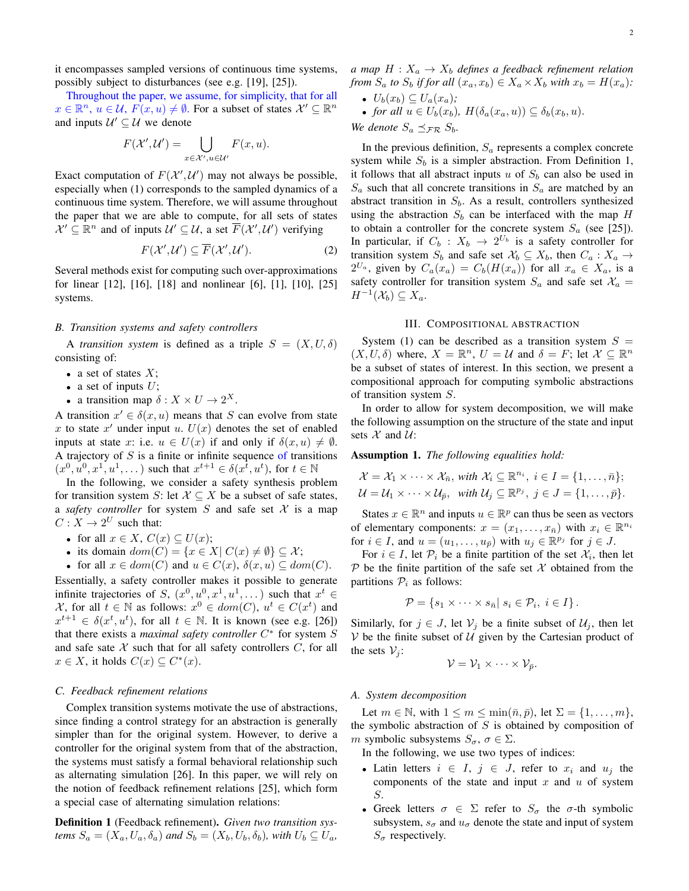it encompasses sampled versions of continuous time systems, possibly subject to disturbances (see e.g. [19], [25]).

Throughout the paper, we assume, for simplicity, that for all  $x \in \mathbb{R}^n$ ,  $u \in \mathcal{U}$ ,  $F(x, u) \neq \emptyset$ . For a subset of states  $\mathcal{X}' \subseteq \mathbb{R}^n$ and inputs  $\mathcal{U}' \subseteq \mathcal{U}$  we denote

$$
F(\mathcal{X}', \mathcal{U}') = \bigcup_{x \in \mathcal{X}', u \in \mathcal{U}'} F(x, u).
$$

Exact computation of  $F(\mathcal{X}', \mathcal{U}')$  may not always be possible, especially when (1) corresponds to the sampled dynamics of a continuous time system. Therefore, we will assume throughout the paper that we are able to compute, for all sets of states  $\mathcal{X}' \subseteq \mathbb{R}^n$  and of inputs  $\mathcal{U}' \subseteq \mathcal{U}$ , a set  $\overline{F}(\mathcal{X}', \mathcal{U}')$  verifying

$$
F(\mathcal{X}', \mathcal{U}') \subseteq \overline{F}(\mathcal{X}', \mathcal{U}').
$$
 (2)

Several methods exist for computing such over-approximations for linear [12], [16], [18] and nonlinear [6], [1], [10], [25] systems.

## *B. Transition systems and safety controllers*

A *transition system* is defined as a triple  $S = (X, U, \delta)$ consisting of:

- a set of states  $X$ ;
- a set of inputs  $U$ ;
- a transition map  $\delta: X \times U \to 2^X$ .

A transition  $x' \in \delta(x, u)$  means that S can evolve from state x to state  $x'$  under input u.  $U(x)$  denotes the set of enabled inputs at state x: i.e.  $u \in U(x)$  if and only if  $\delta(x, u) \neq \emptyset$ . A trajectory of  $S$  is a finite or infinite sequence of transitions  $(x^0, u^0, x^1, u^1, \dots)$  such that  $x^{t+1} \in \delta(x^{\tilde{t}}, u^t)$ , for  $t \in \mathbb{N}$ 

In the following, we consider a safety synthesis problem for transition system S: let  $X \subseteq X$  be a subset of safe states, a *safety controller* for system  $S$  and safe set  $X$  is a map  $C: X \to 2^U$  such that:

- for all  $x \in X$ ,  $C(x) \subseteq U(x)$ ;
- its domain  $dom(C) = \{x \in X | C(x) \neq \emptyset\} \subseteq \mathcal{X};$
- for all  $x \in dom(C)$  and  $u \in C(x)$ ,  $\delta(x, u) \subseteq dom(C)$ .

Essentially, a safety controller makes it possible to generate infinite trajectories of S,  $(x^0, u^0, x^1, u^1, \dots)$  such that  $x^t \in$ X, for all  $t \in \mathbb{N}$  as follows:  $x^0 \in dom(C)$ ,  $u^t \in C(x^t)$  and  $x^{t+1} \in \delta(x^t, u^t)$ , for all  $t \in \mathbb{N}$ . It is known (see e.g. [26]) that there exists a *maximal safety controller*  $C^*$  for system S and safe sate  $X$  such that for all safety controllers  $C$ , for all  $x \in X$ , it holds  $C(x) \subseteq C^*(x)$ .

## *C. Feedback refinement relations*

Complex transition systems motivate the use of abstractions, since finding a control strategy for an abstraction is generally simpler than for the original system. However, to derive a controller for the original system from that of the abstraction, the systems must satisfy a formal behavioral relationship such as alternating simulation [26]. In this paper, we will rely on the notion of feedback refinement relations [25], which form a special case of alternating simulation relations:

Definition 1 (Feedback refinement). *Given two transition systems*  $S_a = (X_a, U_a, \delta_a)$  *and*  $S_b = (X_b, U_b, \delta_b)$ *, with*  $U_b \subseteq U_a$ *,* 

- *a* map  $H: X_a \to X_b$  *defines a feedback refinement relation from*  $S_a$  *to*  $S_b$  *if for all*  $(x_a, x_b) \in X_a \times X_b$  *with*  $x_b = H(x_a)$ *:* 
	- $U_b(x_b) \subseteq U_a(x_a)$ ;
	- *for all*  $u \in U_b(x_b)$ ,  $H(\delta_a(x_a, u)) \subseteq \delta_b(x_b, u)$ .
- *We denote*  $S_a \preceq_{\mathcal{FR}} S_b$ .

In the previous definition,  $S_a$  represents a complex concrete system while  $S_b$  is a simpler abstraction. From Definition 1, it follows that all abstract inputs u of  $S_b$  can also be used in  $S_a$  such that all concrete transitions in  $S_a$  are matched by an abstract transition in  $S_b$ . As a result, controllers synthesized using the abstraction  $S_b$  can be interfaced with the map H to obtain a controller for the concrete system  $S_a$  (see [25]). In particular, if  $C_b : X_b \to 2^{U_b}$  is a safety controller for transition system  $S_b$  and safe set  $\mathcal{X}_b \subseteq X_b$ , then  $C_a : X_a \to Y_a$  $2^{U_a}$ , given by  $C_a(x_a) = C_b(H(x_a))$  for all  $x_a \in X_a$ , is a safety controller for transition system  $S_a$  and safe set  $\mathcal{X}_a$  =  $H^{-1}(\mathcal{X}_b) \subseteq X_a.$ 

# III. COMPOSITIONAL ABSTRACTION

System (1) can be described as a transition system  $S =$  $(X, U, \delta)$  where,  $X = \mathbb{R}^n$ ,  $U = \mathcal{U}$  and  $\delta = F$ ; let  $\mathcal{X} \subseteq \mathbb{R}^n$ be a subset of states of interest. In this section, we present a compositional approach for computing symbolic abstractions of transition system S.

In order to allow for system decomposition, we will make the following assumption on the structure of the state and input sets  $X$  and  $U$ :

Assumption 1. *The following equalities hold:*

$$
\mathcal{X} = \mathcal{X}_1 \times \cdots \times \mathcal{X}_{\bar{n}}, \text{ with } \mathcal{X}_i \subseteq \mathbb{R}^{n_i}, i \in I = \{1, \ldots, \bar{n}\};
$$
  

$$
\mathcal{U} = \mathcal{U}_1 \times \cdots \times \mathcal{U}_{\bar{p}}, \text{ with } \mathcal{U}_j \subseteq \mathbb{R}^{p_j}, j \in J = \{1, \ldots, \bar{p}\}.
$$

States  $x \in \mathbb{R}^n$  and inputs  $u \in \mathbb{R}^p$  can thus be seen as vectors of elementary components:  $x = (x_1, \dots, x_{\overline{n}})$  with  $x_i \in \mathbb{R}^{n_i}$ for  $i \in I$ , and  $u = (u_1, \dots, u_{\bar{p}})$  with  $u_j \in \mathbb{R}^{p_j}$  for  $j \in J$ .

For  $i \in I$ , let  $\mathcal{P}_i$  be a finite partition of the set  $\mathcal{X}_i$ , then let  $P$  be the finite partition of the safe set  $X$  obtained from the partitions  $P_i$  as follows:

$$
\mathcal{P} = \{s_1 \times \cdots \times s_{\bar{n}} | s_i \in \mathcal{P}_i, i \in I\}.
$$

Similarly, for  $j \in J$ , let  $V_j$  be a finite subset of  $\mathcal{U}_j$ , then let  $V$  be the finite subset of  $U$  given by the Cartesian product of the sets  $V_i$ :

$$
\mathcal{V} = \mathcal{V}_1 \times \cdots \times \mathcal{V}_{\bar{p}}.
$$

#### *A. System decomposition*

Let  $m \in \mathbb{N}$ , with  $1 \leq m \leq \min(\bar{n}, \bar{p})$ , let  $\Sigma = \{1, \ldots, m\}$ , the symbolic abstraction of  $S$  is obtained by composition of m symbolic subsystems  $S_{\sigma}$ ,  $\sigma \in \Sigma$ .

In the following, we use two types of indices:

- Latin letters  $i \in I$ ,  $j \in J$ , refer to  $x_i$  and  $u_j$  the components of the state and input  $x$  and  $u$  of system S.
- Greek letters  $\sigma \in \Sigma$  refer to  $S_{\sigma}$  the  $\sigma$ -th symbolic subsystem,  $s_{\sigma}$  and  $u_{\sigma}$  denote the state and input of system  $S_{\sigma}$  respectively.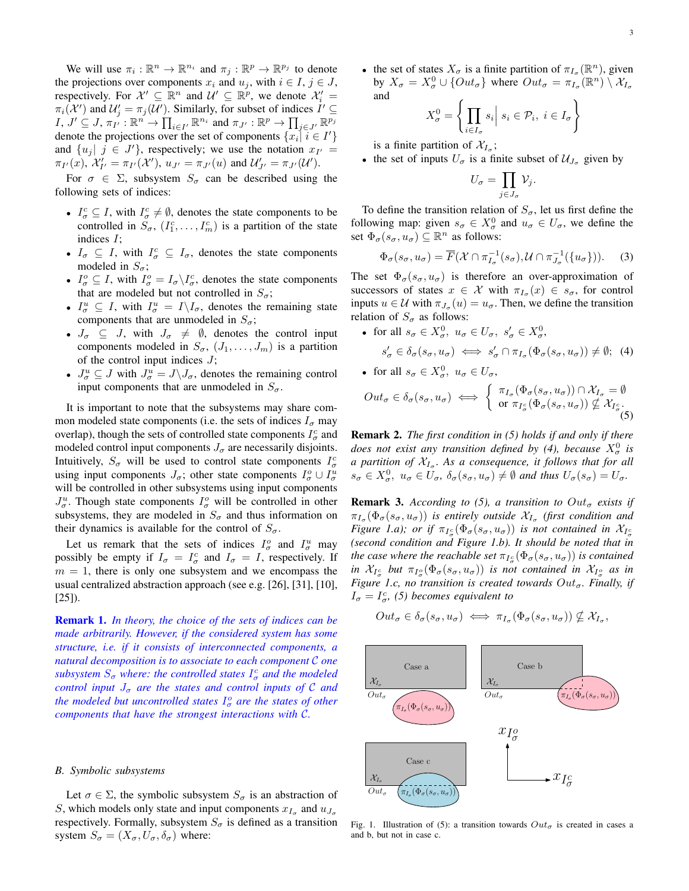We will use  $\pi_i : \mathbb{R}^n \to \mathbb{R}^{n_i}$  and  $\pi_j : \mathbb{R}^p \to \mathbb{R}^{p_j}$  to denote the projections over components  $x_i$  and  $u_j$ , with  $i \in I$ ,  $j \in J$ , respectively. For  $\mathcal{X}' \subseteq \mathbb{R}^n$  and  $\mathcal{U}' \subseteq \mathbb{R}^p$ , we denote  $\mathcal{X}'_i =$  $\pi_i(\mathcal{X}')$  and  $\mathcal{U}'_j = \pi_j(\mathcal{U}')$ . Similarly, for subset of indices  $I' \subseteq$  $I, J' \subseteq J, \pi_{I'} : \mathbb{R}^n \to \prod_{i \in I'} \mathbb{R}^{n_i}$  and  $\pi_{J'} : \mathbb{R}^p \to \prod_{j \in J'} \mathbb{R}^{p_j}$ denote the projections over the set of components  $\{x_i | i \in I'\}$ and  $\{u_j | j \in J'\}$ , respectively; we use the notation  $x_{I'} =$  $\pi_{I'}(x)$ ,  $\mathcal{X}'_{I'} = \pi_{I'}(\mathcal{X}')$ ,  $u_{J'} = \pi_{J'}(u)$  and  $\mathcal{U}'_{J'} = \pi_{J'}(\mathcal{U}')$ .

For  $\sigma \in \Sigma$ , subsystem  $S_{\sigma}$  can be described using the following sets of indices:

- $I_{\sigma}^c \subseteq I$ , with  $I_{\sigma}^c \neq \emptyset$ , denotes the state components to be controlled in  $S_{\sigma}$ ,  $(I_1^c, \ldots, I_m^c)$  is a partition of the state indices I;
- $I_{\sigma} \subseteq I$ , with  $I_{\sigma}^c \subseteq I_{\sigma}$ , denotes the state components modeled in  $S_{\sigma}$ ;
- $I_{\sigma}^{\circ} \subseteq I$ , with  $I_{\sigma}^{\circ} = I_{\sigma} \backslash I_{\sigma}^{\circ}$ , denotes the state components that are modeled but not controlled in  $S_{\sigma}$ ;
- $I_{\sigma}^u \subseteq I$ , with  $I_{\sigma}^u = I \setminus I_{\sigma}$ , denotes the remaining state components that are unmodeled in  $S_{\sigma}$ ;
- $J_{\sigma} \subseteq J$ , with  $J_{\sigma} \neq \emptyset$ , denotes the control input components modeled in  $S_{\sigma}$ ,  $(J_1, \ldots, J_m)$  is a partition of the control input indices  $J$ ;
- $J^u_\sigma \subseteq J$  with  $J^u_\sigma = J \backslash J_\sigma$ , denotes the remaining control input components that are unmodeled in  $S_{\sigma}$ .

It is important to note that the subsystems may share common modeled state components (i.e. the sets of indices  $I_{\sigma}$  may overlap), though the sets of controlled state components  $I_{\sigma}^c$  and modeled control input components  $J_{\sigma}$  are necessarily disjoints. Intuitively,  $S_{\sigma}$  will be used to control state components  $I_{\sigma}^{c}$ using input components  $J_{\sigma}$ ; other state components  $I_{\sigma}^o \cup I_{\sigma}^u$ will be controlled in other subsystems using input components  $J^u_\sigma$ . Though state components  $I^o_\sigma$  will be controlled in other subsystems, they are modeled in  $S_{\sigma}$  and thus information on their dynamics is available for the control of  $S_{\sigma}$ .

Let us remark that the sets of indices  $I_{\sigma}^o$  and  $I_{\sigma}^u$  may possibly be empty if  $I_{\sigma} = I_{\sigma}^{c}$  and  $I_{\sigma} = I$ , respectively. If  $m = 1$ , there is only one subsystem and we encompass the usual centralized abstraction approach (see e.g. [26], [31], [10], [25]).

Remark 1. *In theory, the choice of the sets of indices can be made arbitrarily. However, if the considered system has some structure, i.e. if it consists of interconnected components, a natural decomposition is to associate to each component* C *one*  $subsystem S_{\sigma}$  where: the controlled states  $I_{\sigma}^{c}$  and the modeled *control input*  $J_{\sigma}$  *are the states and control inputs of* C *and* the modeled but uncontrolled states  $I_{\sigma}^{\rm o}$  are the states of other *components that have the strongest interactions with* C*.*

#### *B. Symbolic subsystems*

Let  $\sigma \in \Sigma$ , the symbolic subsystem  $S_{\sigma}$  is an abstraction of S, which models only state and input components  $x_{I_{\sigma}}$  and  $u_{J_{\sigma}}$ respectively. Formally, subsystem  $S_{\sigma}$  is defined as a transition system  $S_{\sigma} = (X_{\sigma}, U_{\sigma}, \delta_{\sigma})$  where:

• the set of states  $X_{\sigma}$  is a finite partition of  $\pi_{I_{\sigma}}(\mathbb{R}^n)$ , given by  $X_{\sigma} = X_{\sigma}^0 \cup \{Out_{\sigma}\}\$  where  $Out_{\sigma} = \pi_{I_{\sigma}}(\mathbb{R}^n) \setminus \mathcal{X}_{I_{\sigma}}$ and

$$
X_{\sigma}^{0} = \left\{ \prod_{i \in I_{\sigma}} s_{i} \middle| s_{i} \in \mathcal{P}_{i}, i \in I_{\sigma} \right\}
$$

is a finite partition of  $\mathcal{X}_{I_{\sigma}}$ ;

• the set of inputs  $U_{\sigma}$  is a finite subset of  $\mathcal{U}_{J_{\sigma}}$  given by

$$
U_{\sigma} = \prod_{j \in J_{\sigma}} \mathcal{V}_j.
$$

To define the transition relation of  $S_{\sigma}$ , let us first define the following map: given  $s_{\sigma} \in X_{\sigma}^0$  and  $u_{\sigma} \in U_{\sigma}$ , we define the set  $\Phi_{\sigma}(s_{\sigma}, u_{\sigma}) \subseteq \mathbb{R}^n$  as follows:

$$
\Phi_{\sigma}(s_{\sigma}, u_{\sigma}) = \overline{F}(\mathcal{X} \cap \pi_{I_{\sigma}}^{-1}(s_{\sigma}), \mathcal{U} \cap \pi_{J_{\sigma}}^{-1}(\{u_{\sigma}\})).
$$
 (3)

The set  $\Phi_{\sigma}(s_{\sigma}, u_{\sigma})$  is therefore an over-approximation of successors of states  $x \in \mathcal{X}$  with  $\pi_{I_{\sigma}}(x) \in s_{\sigma}$ , for control inputs  $u \in \mathcal{U}$  with  $\pi_{J_{\sigma}}(u) = u_{\sigma}$ . Then, we define the transition relation of  $S_{\sigma}$  as follows:

\n- for all 
$$
s_{\sigma} \in X_{\sigma}^0
$$
,  $u_{\sigma} \in U_{\sigma}$ ,  $s'_{\sigma} \in X_{\sigma}^0$ ,  $s'_{\sigma} \in \delta_{\sigma}(s_{\sigma}, u_{\sigma}) \iff s'_{\sigma} \cap \pi_{I_{\sigma}}(\Phi_{\sigma}(s_{\sigma}, u_{\sigma})) \neq \emptyset$ ; (4)
\n- for all  $s_{\sigma} \in X_{\sigma}^0$ ,  $u_{\sigma} \in U_{\sigma}$ ,
\n

$$
Out_{\sigma} \in \delta_{\sigma}(s_{\sigma}, u_{\sigma}) \iff \left\{ \begin{array}{l} \pi_{I_{\sigma}}(\Phi_{\sigma}(s_{\sigma}, u_{\sigma})) \cap \mathcal{X}_{I_{\sigma}} = \emptyset \\ \text{or } \pi_{I_{\sigma}^{c}}(\Phi_{\sigma}(s_{\sigma}, u_{\sigma})) \nsubseteq \mathcal{X}_{I_{\sigma}^{c}}. \\ (5) \end{array} \right.
$$

Remark 2. *The first condition in (5) holds if and only if there does not exist any transition defined by (4), because*  $X^0_\sigma$  *is a partition of*  $X_{I_{\sigma}}$ . As a consequence, it follows that for all  $s_{\sigma} \in X_{\sigma}^0$ ,  $u_{\sigma} \in U_{\sigma}$ ,  $\delta_{\sigma}(s_{\sigma}, u_{\sigma}) \neq \emptyset$  and thus  $U_{\sigma}(s_{\sigma}) = U_{\sigma}$ .

**Remark 3.** *According to (5), a transition to*  $Out_{\sigma}$  *exists if*  $\pi_{I_{\sigma}}(\Phi_{\sigma}(s_{\sigma}, u_{\sigma}))$  *is entirely outside*  $\mathcal{X}_{I_{\sigma}}$  (first condition and *Figure 1.a); or if*  $\pi_{I^c_{\sigma}}(\Phi_{\sigma}(s_{\sigma}, u_{\sigma}))$  *is not contained in*  $\mathcal{X}_{I^c_{\sigma}}$ *(second condition and Figure 1.b). It should be noted that in* the case where the reachable set  $\pi_{I_\sigma^c}(\Phi_\sigma(s_\sigma,u_\sigma))$  is contained *in*  $\mathcal{X}_{I_{\sigma}^c}$  but  $\pi_{I_{\sigma}^o}(\Phi_{\sigma}(s_{\sigma}, u_{\sigma}))$  *is not contained in*  $\mathcal{X}_{I_{\sigma}^o}$  *as in Figure 1.c, no transition is created towards*  $Out_{\sigma}$ *. Finally, if*  $I_{\sigma} = I_{\sigma}^{c}$ , (5) becomes equivalent to

$$
Out_{\sigma} \in \delta_{\sigma}(s_{\sigma}, u_{\sigma}) \iff \pi_{I_{\sigma}}(\Phi_{\sigma}(s_{\sigma}, u_{\sigma})) \nsubseteq \mathcal{X}_{I_{\sigma}},
$$



Fig. 1. Illustration of (5): a transition towards  $Out_{\sigma}$  is created in cases a and b, but not in case c.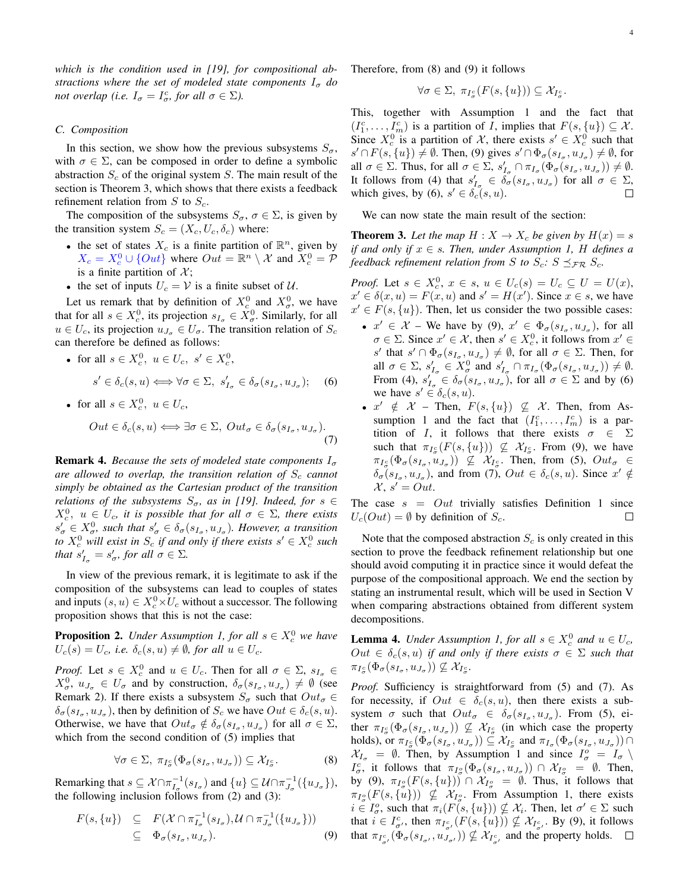*which is the condition used in [19], for compositional abstractions where the set of modeled state components*  $I_{\sigma}$  *do not overlap (i.e.*  $I_{\sigma} = I_{\sigma}^c$ , *for all*  $\sigma \in \Sigma$ *).* 

#### *C. Composition*

In this section, we show how the previous subsystems  $S_{\sigma}$ , with  $\sigma \in \Sigma$ , can be composed in order to define a symbolic abstraction  $S_c$  of the original system S. The main result of the section is Theorem 3, which shows that there exists a feedback refinement relation from  $S$  to  $S_c$ .

The composition of the subsystems  $S_{\sigma}$ ,  $\sigma \in \Sigma$ , is given by the transition system  $S_c = (X_c, U_c, \delta_c)$  where:

- the set of states  $X_c$  is a finite partition of  $\mathbb{R}^n$ , given by  $X_c = X_c^0 \cup \{Out\}$  where  $Out = \mathbb{R}^n \setminus \mathcal{X}$  and  $X_c^0 = \mathcal{P}$ is a finite partition of  $\mathcal{X}$ ;
- the set of inputs  $U_c = V$  is a finite subset of U.

Let us remark that by definition of  $X_c^0$  and  $X_\sigma^0$ , we have that for all  $s \in X_c^0$ , its projection  $s_{I_\sigma} \in X_\sigma^0$ . Similarly, for all  $u \in U_c$ , its projection  $u_{J_{\sigma}} \in U_{\sigma}$ . The transition relation of  $S_c$ can therefore be defined as follows:

• for all  $s \in X_c^0$ ,  $u \in U_c$ ,  $s' \in X_c^0$ ,

$$
s' \in \delta_c(s, u) \Longleftrightarrow \forall \sigma \in \Sigma, \ s'_{I_{\sigma}} \in \delta_{\sigma}(s_{I_{\sigma}}, u_{J_{\sigma}}); \quad (6)
$$

• for all 
$$
s \in X_c^0
$$
,  $u \in U_c$ ,

$$
Out \in \delta_c(s, u) \Longleftrightarrow \exists \sigma \in \Sigma, Out_{\sigma} \in \delta_{\sigma}(s_{I_{\sigma}}, u_{J_{\sigma}}).
$$
\n(7)

**Remark 4.** *Because the sets of modeled state components*  $I_{\sigma}$ *are allowed to overlap, the transition relation of*  $S_c$  *cannot simply be obtained as the Cartesian product of the transition relations of the subsystems*  $S_{\sigma}$ , *as in [19]. Indeed, for*  $s \in$  $X_c^0$ ,  $u \in U_c$ , it is possible that for all  $\sigma \in \Sigma$ , there exists  $s'_{\sigma} \in X_{\sigma}^0$ , such that  $s'_{\sigma} \in \delta_{\sigma}(s_{I_{\sigma}}, u_{J_{\sigma}})$ . However, a transition *to*  $X_c^0$  *will exist in*  $S_c$  *if and only if there exists*  $s' \in X_c^0$  *such that*  $s'_{I_{\sigma}} = s'_{\sigma}$ *, for all*  $\sigma \in \Sigma$ *.* 

In view of the previous remark, it is legitimate to ask if the composition of the subsystems can lead to couples of states and inputs  $(s, u) \in X_c^0 \times U_c$  without a successor. The following proposition shows that this is not the case:

**Proposition 2.** *Under Assumption 1, for all*  $s \in X_c^0$  *we have*  $U_c(s) = U_c$ , *i.e.*  $\delta_c(s, u) \neq \emptyset$ , for all  $u \in U_c$ .

*Proof.* Let  $s \in X_c^0$  and  $u \in U_c$ . Then for all  $\sigma \in \Sigma$ ,  $s_{I_\sigma} \in$  $X^0_{\sigma}$ ,  $u_{J_{\sigma}} \in U_{\sigma}$  and by construction,  $\delta_{\sigma}(s_{I_{\sigma}}, u_{J_{\sigma}}) \neq \emptyset$  (see Remark 2). If there exists a subsystem  $S_{\sigma}$  such that  $Out_{\sigma} \in$  $\delta_{\sigma}(s_{I_{\sigma}}, u_{J_{\sigma}})$ , then by definition of  $S_c$  we have  $Out \in \delta_c(s, u)$ . Otherwise, we have that  $Out_{\sigma} \notin \delta_{\sigma}(s_{I_{\sigma}}, u_{J_{\sigma}})$  for all  $\sigma \in \Sigma$ , which from the second condition of (5) implies that

$$
\forall \sigma \in \Sigma, \ \pi_{I^c_{\sigma}}(\Phi_{\sigma}(s_{I_{\sigma}}, u_{J_{\sigma}})) \subseteq \mathcal{X}_{I^c_{\sigma}}.
$$
 (8)

Remarking that  $s \subseteq \mathcal{X} \cap \pi_{I_{\sigma}}^{-1}(s_{I_{\sigma}})$  and  $\{u\} \subseteq \mathcal{U} \cap \pi_{J_{\sigma}}^{-1}(\{u_{J_{\sigma}}\}),$ the following inclusion follows from (2) and (3):

$$
F(s,\lbrace u \rbrace) \subseteq F(\mathcal{X} \cap \pi_{I_{\sigma}}^{-1}(s_{I_{\sigma}}), \mathcal{U} \cap \pi_{J_{\sigma}}^{-1}(\lbrace u_{J_{\sigma}} \rbrace))
$$
  

$$
\subseteq \Phi_{\sigma}(s_{I_{\sigma}}, u_{J_{\sigma}}).
$$
 (9)

Therefore, from (8) and (9) it follows

$$
\forall \sigma \in \Sigma, \ \pi_{I^c_{\sigma}}(F(s, \{u\})) \subseteq \mathcal{X}_{I^c_{\sigma}}.
$$

This, together with Assumption 1 and the fact that  $(I_1^c, \ldots, I_m^c)$  is a partition of *I*, implies that  $F(s, \{u\}) \subseteq \mathcal{X}$ . Since  $X_c^0$  is a partition of X, there exists  $s' \in X_c^0$  such that  $s' \cap F(s, \{u\}) \neq \emptyset$ . Then, (9) gives  $s' \cap \Phi_{\sigma}(s_{I_{\sigma}}, u_{J_{\sigma}}) \neq \emptyset$ , for all  $\sigma \in \Sigma$ . Thus, for all  $\sigma \in \Sigma$ ,  $s'_{I_{\sigma}} \cap \pi_{I_{\sigma}}(\Phi_{\sigma}(s_{I_{\sigma}}, u_{J_{\sigma}})) \neq \emptyset$ . It follows from (4) that  $s'_{I_{\sigma}} \in \overline{\delta}_{\sigma}(s_{I_{\sigma}}, u_{J_{\sigma}})$  for all  $\sigma \in \Sigma$ , which gives, by (6),  $s' \in \delta_c(s, u)$ .

We can now state the main result of the section:

**Theorem 3.** Let the map  $H : X \to X_c$  be given by  $H(x) = s$ *if and only if*  $x \in s$ *. Then, under Assumption 1, H defines a feedback refinement relation from S to*  $S_c$ :  $S \preceq_{\mathcal{FR}} S_c$ .

*Proof.* Let  $s \in X_c^0$ ,  $x \in s$ ,  $u \in U_c(s) = U_c \subseteq U = U(x)$ ,  $x' \in \delta(x, u) = F(x, u)$  and  $s' = H(x')$ . Since  $x \in s$ , we have  $x' \in F(s, \{u\})$ . Then, let us consider the two possible cases:

- $x' \in \mathcal{X}$  We have by (9),  $x' \in \Phi_{\sigma}(s_{I_{\sigma}}, u_{J_{\sigma}})$ , for all  $\sigma \in \Sigma$ . Since  $x' \in \mathcal{X}$ , then  $s' \in X_c^0$ , it follows from  $x' \in$ s' that  $s' \cap \Phi_{\sigma}(s_{I_{\sigma}}, u_{J_{\sigma}}) \neq \emptyset$ , for all  $\sigma \in \Sigma$ . Then, for all  $\sigma \in \Sigma$ ,  $s'_{I_{\sigma}} \in X_{\sigma}^{0}$  and  $s'_{I_{\sigma}} \cap \pi_{I_{\sigma}}(\Phi_{\sigma}(s_{I_{\sigma}}, u_{J_{\sigma}})) \neq \emptyset$ . From (4),  $s'_{I_{\sigma}} \in \delta_{\sigma}(s_{I_{\sigma}}, u_{J_{\sigma}})$ , for all  $\sigma \in \Sigma$  and by (6) we have  $s' \in \delta_c(s, u)$ .
- $x' \notin \mathcal{X}$  Then,  $F(s, \{u\}) \nsubseteq \mathcal{X}$ . Then, from Assumption 1 and the fact that  $(I_1^c, \ldots, I_m^c)$  is a partition of I, it follows that there exists  $\sigma \in \Sigma$ such that  $\pi_{I^c_{\sigma}}(F(s, \{u\})) \not\subseteq \mathcal{X}_{I^c_{\sigma}}$ . From (9), we have  $\pi_{I^c_{\sigma}}(\Phi_{\sigma}(s_{I_{\sigma}},u_{J_{\sigma}})) \not\subseteq \mathcal{X}_{I^c_{\sigma}}$ . Then, from (5),  $Out_{\sigma} \in$  $\delta_{\sigma}(s_{I_{\sigma}}, u_{J_{\sigma}})$ , and from (7),  $Out \in \delta_{c}(s, u)$ . Since  $x' \notin$  $\mathcal{X}, s' = Out.$

The case  $s = Out$  trivially satisfies Definition 1 since  $U_c(Out) = \emptyset$  by definition of  $S_c$ . □

Note that the composed abstraction  $S_c$  is only created in this section to prove the feedback refinement relationship but one should avoid computing it in practice since it would defeat the purpose of the compositional approach. We end the section by stating an instrumental result, which will be used in Section V when comparing abstractions obtained from different system decompositions.

**Lemma 4.** *Under Assumption 1, for all*  $s \in X_c^0$  *and*  $u \in U_c$ *,*  $Out \in \delta_c(s, u)$  *if and only if there exists*  $\sigma \in \Sigma$  *such that*  $\pi_{I^c_\sigma}(\Phi_\sigma(s_{I_\sigma},u_{J_\sigma})) \nsubseteq \mathcal{X}_{I^c_\sigma}.$ 

*Proof.* Sufficiency is straightforward from (5) and (7). As for necessity, if  $Out \in \delta_c(s, u)$ , then there exists a subsystem  $\sigma$  such that  $Out_{\sigma} \in \delta_{\sigma}(s_{I_{\sigma}}, u_{J_{\sigma}})$ . From (5), either  $\pi_{I^c_{\sigma}}(\Phi_{\sigma}(s_{I_{\sigma}},u_{J_{\sigma}})) \not\subseteq \mathcal{X}_{I^c_{\sigma}}$  (in which case the property holds), or  $\pi_{I^c_\sigma}(\Phi_\sigma(s_{I_\sigma}, u_{J_\sigma})) \subseteq \mathcal{X}_{I^c_\sigma}$  and  $\pi_{I_\sigma}(\Phi_\sigma(s_{I_\sigma}, u_{J_\sigma})) \cap$  $X_{I_{\sigma}} = \emptyset$ . Then, by Assumption 1 and since  $I_{\sigma}^{\circ} = I_{\sigma} \setminus$  $I_{\sigma}^c$ , it follows that  $\pi_{I_{\sigma}^o}(\Phi_{\sigma}(s_{I_{\sigma}},u_{J_{\sigma}})) \cap \mathcal{X}_{I_{\sigma}^o} = \emptyset$ . Then, by (9),  $\pi_{I^o_{\sigma}}(F(s,\{u\})) \cap \mathcal{X}_{I^o_{\sigma}} = \emptyset$ . Thus, it follows that  $\pi_{I^o_\sigma}(F(s, \{u\})) \nsubseteq \mathcal{X}_{I^o_\sigma}$ . From Assumption 1, there exists  $i \in I_{\sigma}^o$ , such that  $\pi_i(F(s, \{u\})) \nsubseteq \mathcal{X}_i$ . Then, let  $\sigma' \in \Sigma$  such that  $i \in I_{\sigma}^c$ , then  $\pi_{I_{\sigma}^c}(F(s, \{u\})) \nsubseteq \mathcal{X}_{I_{\sigma'}^c}$ . By (9), it follows that  $\pi_{I_{\sigma}^c}(\Phi_{\sigma}(s_{I_{\sigma'}}, u_{J_{\sigma'}}^{\sigma'})) \nsubseteq \mathcal{X}_{I_{\sigma'}^c}$  and the property holds.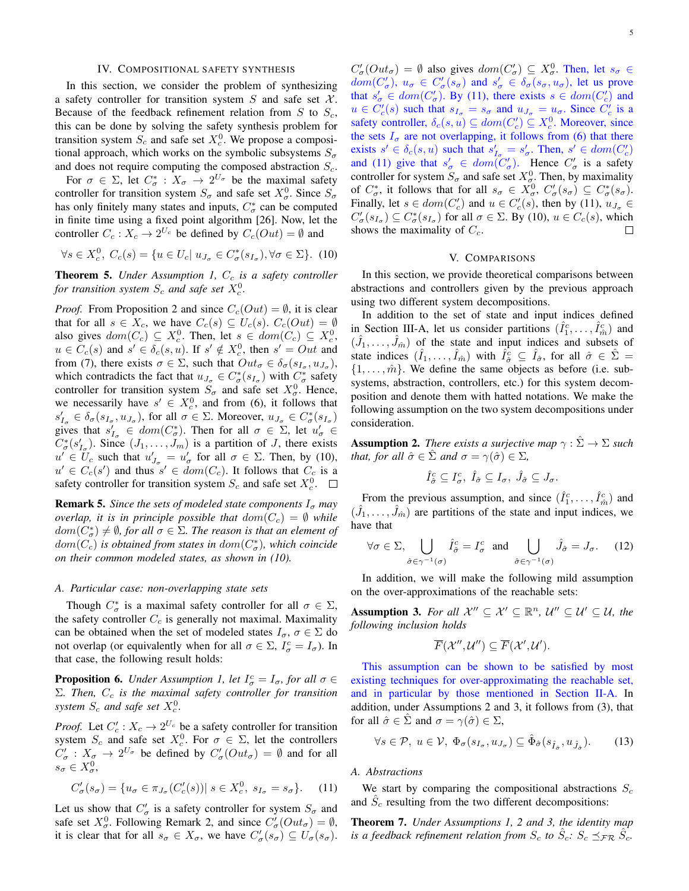#### IV. COMPOSITIONAL SAFETY SYNTHESIS

In this section, we consider the problem of synthesizing a safety controller for transition system  $S$  and safe set  $X$ . Because of the feedback refinement relation from  $S$  to  $S_c$ , this can be done by solving the safety synthesis problem for transition system  $S_c$  and safe set  $X_c^0$ . We propose a compositional approach, which works on the symbolic subsystems  $S_{\sigma}$ and does not require computing the composed abstraction  $S_c$ .

For  $\sigma \in \Sigma$ , let  $C^*_{\sigma}: X_{\sigma} \to 2^{U_{\sigma}}$  be the maximal safety controller for transition system  $S_{\sigma}$  and safe set  $X_{\sigma}^{0}$ . Since  $S_{\sigma}$ has only finitely many states and inputs,  $C^*_{\sigma}$  can be computed in finite time using a fixed point algorithm [26]. Now, let the controller  $C_c: X_c \to 2^{U_c}$  be defined by  $C_c(Out) = \emptyset$  and

$$
\forall s \in X_c^0, C_c(s) = \{ u \in U_c | u_{J_\sigma} \in C^*_\sigma(s_{I_\sigma}), \forall \sigma \in \Sigma \}. (10)
$$

**Theorem 5.** *Under Assumption 1, C<sub>c</sub> is a safety controller for transition system*  $S_c$  *and safe set*  $X_c^0$ *.* 

*Proof.* From Proposition 2 and since  $C_c(Out) = \emptyset$ , it is clear that for all  $s \in X_c$ , we have  $C_c(s) \subseteq U_c(s)$ .  $C_c(Out) = \emptyset$ also gives  $dom(C_c) \subseteq X_c^0$ . Then, let  $s \in dom(C_c) \subseteq X_c^0$ ,  $u \in C_c(s)$  and  $s' \in \delta_c(s, u)$ . If  $s' \notin X_c^0$ , then  $s' = Out$  and from (7), there exists  $\sigma \in \Sigma$ , such that  $Out_{\sigma} \in \delta_{\sigma}(s_{I_{\sigma}}, u_{J_{\sigma}})$ , which contradicts the fact that  $u_{J_{\sigma}} \in C^*_{\sigma}(s_{I_{\sigma}})$  with  $C^*_{\sigma}$  safety controller for transition system  $S_{\sigma}$  and safe set  $X_{\sigma}^{0}$ . Hence, we necessarily have  $s' \in X_c^0$ , and from (6), it follows that  $s'_{I_{\sigma}} \in \delta_{\sigma}(s_{I_{\sigma}}, u_{J_{\sigma}})$ , for all  $\sigma \in \Sigma$ . Moreover,  $u_{J_{\sigma}} \in C^*_{\sigma}(s_{I_{\sigma}})$ gives that  $s'_{I_{\sigma}} \in dom(C_{\sigma}^{*})$ . Then for all  $\sigma \in \Sigma$ , let  $u'_{\sigma} \in$  $C^*_{\sigma}(s'_{I_{\sigma}})$ . Since  $(J_1, \ldots, J_m)$  is a partition of J, there exists  $u' \in U_c$  such that  $u'_{J_{\sigma}} = u'_{\sigma}$  for all  $\sigma \in \Sigma$ . Then, by (10),  $u' \in C_c(s')$  and thus  $s' \in dom(C_c)$ . It follows that  $C_c$  is a safety controller for transition system  $S_c$  and safe set  $X_c^0$ .

**Remark 5.** *Since the sets of modeled state components*  $I_{\sigma}$  *may overlap, it is in principle possible that*  $dom(C_c) = \emptyset$  *while*  $dom(C^*_{\sigma}) \neq \emptyset$ , for all  $\sigma \in \Sigma$ . The reason is that an element of  $dom(C_c)$  is obtained from states in  $dom(C^*_{\sigma})$ , which coincide *on their common modeled states, as shown in (10).*

## *A. Particular case: non-overlapping state sets*

Though  $C^*_{\sigma}$  is a maximal safety controller for all  $\sigma \in \Sigma$ , the safety controller  $C_c$  is generally not maximal. Maximality can be obtained when the set of modeled states  $I_{\sigma}$ ,  $\sigma \in \Sigma$  do not overlap (or equivalently when for all  $\sigma \in \Sigma$ ,  $I_{\sigma}^c = I_{\sigma}$ ). In that case, the following result holds:

**Proposition 6.** *Under Assumption 1, let*  $I_{\sigma}^{c} = I_{\sigma}$ *, for all*  $\sigma \in$ Σ*. Then,* C<sup>c</sup> *is the maximal safety controller for transition*  $system$   $S_c$  and safe set  $X_c^0$ .

*Proof.* Let  $C'_c$ :  $X_c \to 2^{U_c}$  be a safety controller for transition system  $S_c$  and safe set  $X_c^0$ . For  $\sigma \in \Sigma$ , let the controllers  $C'_{\sigma}: X_{\sigma} \to 2^{U_{\sigma}}$  be defined by  $C'_{\sigma}(Out_{\sigma}) = \emptyset$  and for all  $s_{\sigma} \in X_{\sigma}^0,$ 

$$
C'_{\sigma}(s_{\sigma}) = \{u_{\sigma} \in \pi_{J_{\sigma}}(C'_{c}(s))| s \in X_{c}^{0}, s_{I_{\sigma}} = s_{\sigma}\}.
$$
 (11)

Let us show that  $C'_{\sigma}$  is a safety controller for system  $S_{\sigma}$  and safe set  $X^0_{\sigma}$ . Following Remark 2, and since  $C'_{\sigma}(Out_{\sigma}) = \emptyset$ , it is clear that for all  $s_{\sigma} \in X_{\sigma}$ , we have  $C'_{\sigma}(s_{\sigma}) \subseteq U_{\sigma}(s_{\sigma})$ .

 $C'_{\sigma}(Out_{\sigma}) = \emptyset$  also gives  $dom(C'_{\sigma}) \subseteq X_{\sigma}^{0}$ . Then, let  $s_{\sigma} \in$  $dom(C'_{\sigma}), u_{\sigma} \in C'_{\sigma}(s_{\sigma})$  and  $s'_{\sigma} \in \delta_{\sigma}(s_{\sigma}, u_{\sigma})$ , let us prove that  $s'_{\sigma} \in dom(C'_{\sigma})$ . By (11), there exists  $s \in dom(C'_{c})$  and  $u \in C'_c(s)$  such that  $s_{I_\sigma} = s_\sigma$  and  $u_{J_\sigma} = u_\sigma$ . Since  $C'_c$  is a safety controller,  $\delta_c(s, u) \subseteq dom(C_c') \subseteq X_c^0$ . Moreover, since the sets  $I_{\sigma}$  are not overlapping, it follows from (6) that there exists  $s' \in \delta_c(s, u)$  such that  $s'_{I_{\sigma}} = s'_{\sigma}$ . Then,  $s' \in dom(C_c')$ and (11) give that  $s'_{\sigma} \in dom(C'_{\sigma})$ . Hence  $C'_{\sigma}$  is a safety controller for system  $S_{\sigma}$  and safe set  $X_{\sigma}^{0}$ . Then, by maximality of  $C^*_{\sigma}$ , it follows that for all  $s_{\sigma} \in X^0_{\sigma}$ ,  $C'_{\sigma}(s_{\sigma}) \subseteq C^*_{\sigma}(s_{\sigma})$ . Finally, let  $s \in dom(C'_c)$  and  $u \in C'_c(s)$ , then by (11),  $u_{J_\sigma} \in$  $C'_{\sigma}(s_{I_{\sigma}}) \subseteq C^*_{\sigma}(s_{I_{\sigma}})$  for all  $\sigma \in \Sigma$ . By (10),  $u \in C_c(s)$ , which shows the maximality of  $C_c$ .

# V. COMPARISONS

In this section, we provide theoretical comparisons between abstractions and controllers given by the previous approach using two different system decompositions.

In addition to the set of state and input indices defined in Section III-A, let us consider partitions  $(\hat{I}_1^c, \ldots, \hat{I}_{\hat{m}}^c)$  and  $(\hat{J}_1, \ldots, \hat{J}_{\hat{m}})$  of the state and input indices and subsets of state indices  $(\hat{I}_1, \dots, \hat{I}_{\hat{m}})$  with  $\hat{I}_{\hat{\sigma}}^c \subseteq \hat{I}_{\hat{\sigma}}$ , for all  $\hat{\sigma} \in \hat{\Sigma} =$  $\{1, \ldots, \hat{m}\}\.$  We define the same objects as before (i.e. subsystems, abstraction, controllers, etc.) for this system decomposition and denote them with hatted notations. We make the following assumption on the two system decompositions under consideration.

**Assumption 2.** *There exists a surjective map*  $\gamma : \hat{\Sigma} \to \Sigma$  *such that, for all*  $\hat{\sigma} \in \hat{\Sigma}$  *and*  $\sigma = \gamma(\hat{\sigma}) \in \Sigma$ *,* 

$$
\hat{I}_{\hat{\sigma}}^c \subseteq I_{\sigma}^c, \ \hat{I}_{\hat{\sigma}} \subseteq I_{\sigma}, \ \hat{J}_{\hat{\sigma}} \subseteq J_{\sigma}.
$$

From the previous assumption, and since  $(\hat{I}_1^c, \dots, \hat{I}_{\hat{m}}^c)$  and  $(\hat{J}_1, \ldots, \hat{J}_{\hat{m}})$  are partitions of the state and input indices, we have that

$$
\forall \sigma \in \Sigma, \bigcup_{\hat{\sigma} \in \gamma^{-1}(\sigma)} \hat{I}_{\hat{\sigma}}^c = I_{\sigma}^c \text{ and } \bigcup_{\hat{\sigma} \in \gamma^{-1}(\sigma)} \hat{J}_{\hat{\sigma}} = J_{\sigma}. \tag{12}
$$

In addition, we will make the following mild assumption on the over-approximations of the reachable sets:

**Assumption 3.** For all  $\mathcal{X}'' \subseteq \mathcal{X}' \subseteq \mathbb{R}^n$ ,  $\mathcal{U}'' \subseteq \mathcal{U}' \subseteq \mathcal{U}$ , the *following inclusion holds*

$$
\overline{F}(\mathcal{X}^{\prime\prime},\mathcal{U}^{\prime\prime})\subseteq\overline{F}(\mathcal{X}^{\prime},\mathcal{U}^{\prime}).
$$

This assumption can be shown to be satisfied by most existing techniques for over-approximating the reachable set, and in particular by those mentioned in Section II-A. In addition, under Assumptions 2 and 3, it follows from (3), that for all  $\hat{\sigma} \in \hat{\Sigma}$  and  $\sigma = \gamma(\hat{\sigma}) \in \Sigma$ ,

$$
\forall s \in \mathcal{P}, \ u \in \mathcal{V}, \ \Phi_{\sigma}(s_{I_{\sigma}}, u_{J_{\sigma}}) \subseteq \hat{\Phi}_{\hat{\sigma}}(s_{\hat{I}_{\hat{\sigma}}}, u_{\hat{J}_{\hat{\sigma}}}). \tag{13}
$$

## *A. Abstractions*

We start by comparing the compositional abstractions  $S_c$ and  $\hat{S}_c$  resulting from the two different decompositions:

Theorem 7. *Under Assumptions 1, 2 and 3, the identity map is a feedback refinement relation from*  $S_c$  *to*  $\hat{S}_c$ *:*  $S_c \preceq_{\mathcal{FR}} \hat{S}_c$ *.*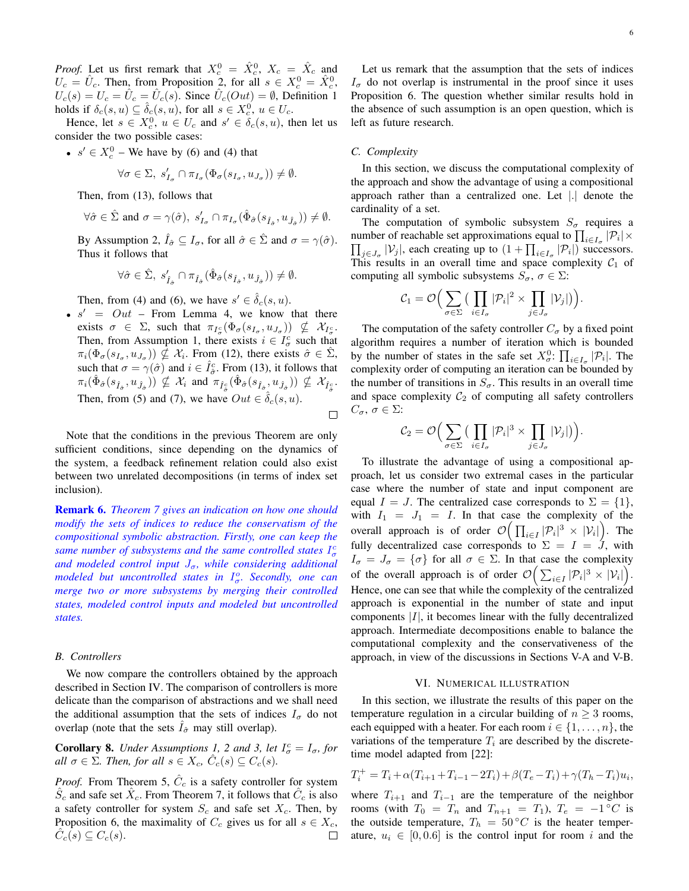*Proof.* Let us first remark that  $X_c^0 = \hat{X}_c^0$ ,  $X_c = \hat{X}_c$  and  $U_c = \hat{U}_c$ . Then, from Proposition 2, for all  $s \in X_c^0 = \hat{X}_c^0$ ,  $U_c(s) = U_c = \hat{U}_c = \hat{U}_c(s)$ . Since  $\hat{U}_c(Out) = \emptyset$ , Definition 1 holds if  $\delta_c(s, u) \subseteq \hat{\delta}_c(s, u)$ , for all  $s \in X_c^0$ ,  $u \in U_c$ .

Hence, let  $s \in X_c^0$ ,  $u \in U_c$  and  $s' \in \delta_c(s, u)$ , then let us consider the two possible cases:

•  $s' \in X_c^0$  – We have by (6) and (4) that

$$
\forall \sigma \in \Sigma, \ s'_{I_{\sigma}} \cap \pi_{I_{\sigma}}(\Phi_{\sigma}(s_{I_{\sigma}}, u_{J_{\sigma}})) \neq \emptyset.
$$

Then, from (13), follows that

$$
\forall \hat \sigma \in \hat \Sigma \text{ and } \sigma = \gamma(\hat \sigma), \; s_{I_\sigma}' \cap \pi_{I_\sigma}(\hat \Phi_{\hat \sigma}(s_{\hat I_{\hat \sigma}},u_{\hat J_{\hat \sigma}})) \neq \emptyset.
$$

By Assumption 2,  $\hat{I}_{\hat{\sigma}} \subseteq I_{\sigma}$ , for all  $\hat{\sigma} \in \hat{\Sigma}$  and  $\sigma = \gamma(\hat{\sigma})$ . Thus it follows that

$$
\forall \hat{\sigma} \in \hat{\Sigma}, \; s_{\hat{I}_{\hat{\sigma}}}^{\prime} \cap \pi_{\hat{I}_{\hat{\sigma}}}(\hat{\Phi}_{\hat{\sigma}}(s_{\hat{I}_{\hat{\sigma}}}, u_{\hat{J}_{\hat{\sigma}}})) \neq \emptyset.
$$

Then, from (4) and (6), we have  $s' \in \hat{\delta}_c(s, u)$ .

•  $s' = Out$  – From Lemma 4, we know that there exists  $\sigma \in \Sigma$ , such that  $\pi_{I^c_{\sigma}}(\Phi_{\sigma}(s_{I_{\sigma}},u_{J_{\sigma}})) \nsubseteq \mathcal{X}_{I^c_{\sigma}}$ . Then, from Assumption 1, there exists  $i \in I_{\sigma}^c$  such that  $\pi_i(\Phi_{\sigma}(s_{I_{\sigma}}, u_{J_{\sigma}})) \nsubseteq \mathcal{X}_i$ . From (12), there exists  $\hat{\sigma} \in \hat{\Sigma}$ , such that  $\sigma = \gamma(\hat{\sigma})$  and  $i \in \hat{I}_{\hat{\sigma}}^c$ . From (13), it follows that  $\pi_i(\hat\Phi_{\hat\sigma}(s_{\hat I_{\hat\sigma}},u_{\hat J_{\hat\sigma}}))\nsubseteq\mathcal X_i$  and  $\pi_{\hat I_{\hat\sigma}^c}(\hat\Phi_{\hat\sigma}(s_{\hat I_{\hat\sigma}},u_{\hat J_{\hat\sigma}}))\nsubseteq\mathcal X_{\hat I_{\hat\sigma}^c}.$ Then, from (5) and (7), we have  $Out \in \hat{\delta}_c(s, u)$ .

 $\Box$ 

Note that the conditions in the previous Theorem are only sufficient conditions, since depending on the dynamics of the system, a feedback refinement relation could also exist between two unrelated decompositions (in terms of index set inclusion).

Remark 6. *Theorem 7 gives an indication on how one should modify the sets of indices to reduce the conservatism of the compositional symbolic abstraction. Firstly, one can keep the* same number of subsystems and the same controlled states  $I_{\sigma}^{c}$ and modeled control input  $J_{\sigma}$ , while considering additional *modeled but uncontrolled states in*  $I^o_\sigma$ *. Secondly, one can merge two or more subsystems by merging their controlled states, modeled control inputs and modeled but uncontrolled states.*

# *B. Controllers*

We now compare the controllers obtained by the approach described in Section IV. The comparison of controllers is more delicate than the comparison of abstractions and we shall need the additional assumption that the sets of indices  $I_{\sigma}$  do not overlap (note that the sets  $I_{\hat{\sigma}}$  may still overlap).

**Corollary 8.** *Under Assumptions 1, 2 and 3, let*  $I_{\sigma}^c = I_{\sigma}$ , for *all*  $\sigma \in \Sigma$ *. Then, for all*  $s \in X_c$ ,  $\hat{C}_c(s) \subseteq C_c(s)$ *.* 

*Proof.* From Theorem 5,  $\hat{C}_c$  is a safety controller for system  $\hat{S}_c$  and safe set  $\hat{X}_c$ . From Theorem 7, it follows that  $\hat{C}_c$  is also a safety controller for system  $S_c$  and safe set  $X_c$ . Then, by Proposition 6, the maximality of  $C_c$  gives us for all  $s \in X_c$ ,  $\widehat{C}_c(s) \subseteq C_c(s)$ .  $\hat{C}_c(s) \subseteq C_c(s)$ .

Let us remark that the assumption that the sets of indices  $I_{\sigma}$  do not overlap is instrumental in the proof since it uses Proposition 6. The question whether similar results hold in the absence of such assumption is an open question, which is left as future research.

#### *C. Complexity*

In this section, we discuss the computational complexity of the approach and show the advantage of using a compositional approach rather than a centralized one. Let |.| denote the cardinality of a set.

The computation of symbolic subsystem  $S_{\sigma}$  requires a number of reachable set approximations equal to  $\prod_{i \in I_{\sigma}} |\mathcal{P}_i| \times$  $\prod_{j\in J_{\sigma}} |\mathcal{V}_j|$ , each creating up to  $(1 + \prod_{i\in I_{\sigma}} |\mathcal{P}_i|)$  successors. This results in an overall time and space complexity  $C_1$  of computing all symbolic subsystems  $S_{\sigma}$ ,  $\sigma \in \Sigma$ :

$$
\mathcal{C}_1 = \mathcal{O}\Big(\sum_{\sigma \in \Sigma} \big(\prod_{i \in I_{\sigma}} |\mathcal{P}_i|^2 \times \prod_{j \in J_{\sigma}} |\mathcal{V}_j|\big)\Big).
$$

The computation of the safety controller  $C_{\sigma}$  by a fixed point algorithm requires a number of iteration which is bounded by the number of states in the safe set  $X^0_{\sigma}$ :  $\prod_{i \in I_{\sigma}} |\mathcal{P}_i|$ . The complexity order of computing an iteration can be bounded by the number of transitions in  $S_{\sigma}$ . This results in an overall time and space complexity  $C_2$  of computing all safety controllers  $C_{\sigma}$ ,  $\sigma \in \Sigma$ :

$$
\mathcal{C}_2 = \mathcal{O}\Big(\sum_{\sigma \in \Sigma} \big(\prod_{i \in I_{\sigma}} |\mathcal{P}_i|^3 \times \prod_{j \in J_{\sigma}} |\mathcal{V}_j|\big)\Big).
$$

To illustrate the advantage of using a compositional approach, let us consider two extremal cases in the particular case where the number of state and input component are equal  $I = J$ . The centralized case corresponds to  $\Sigma = \{1\}$ , with  $I_1 = J_1 = I$ . In that case the complexity of the overall approach is of order  $\mathcal{O}\Big(\prod_{i\in I}|\mathcal{P}_i|^3\times|\mathcal{V}_i|\Big)$ . The fully decentralized case corresponds to  $\Sigma = I = J$ , with  $I_{\sigma} = J_{\sigma} = {\sigma}$  for all  $\sigma \in \Sigma$ . In that case the complexity of the overall approach is of order  $\mathcal{O}\Big(\sum_{i\in I}|\mathcal{P}_i|^3\times |\mathcal{V}_i|\Big).$ Hence, one can see that while the complexity of the centralized approach is exponential in the number of state and input components  $|I|$ , it becomes linear with the fully decentralized approach. Intermediate decompositions enable to balance the computational complexity and the conservativeness of the approach, in view of the discussions in Sections V-A and V-B.

#### VI. NUMERICAL ILLUSTRATION

In this section, we illustrate the results of this paper on the temperature regulation in a circular building of  $n \geq 3$  rooms, each equipped with a heater. For each room  $i \in \{1, \ldots, n\}$ , the variations of the temperature  $T_i$  are described by the discretetime model adapted from [22]:

$$
T_i^+ = T_i + \alpha (T_{i+1} + T_{i-1} - 2T_i) + \beta (T_e - T_i) + \gamma (T_h - T_i) u_i,
$$

where  $T_{i+1}$  and  $T_{i-1}$  are the temperature of the neighbor rooms (with  $T_0 = T_n$  and  $T_{n+1} = T_1$ ),  $T_e = -1$ °C is the outside temperature,  $T_h = 50 °C$  is the heater temperature,  $u_i \in [0, 0.6]$  is the control input for room i and the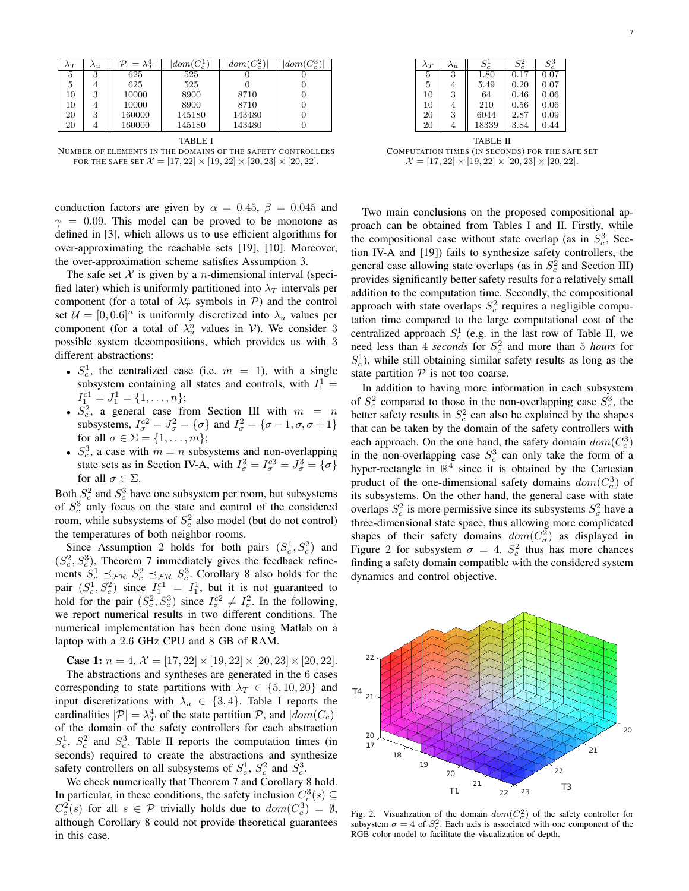| $\lambda_T$ | $\Lambda_{2L}$ |        | $\vert dom(C_c^1)$ | $dom(C_c^2)$ | $dom(C_c^{\delta})$ |
|-------------|----------------|--------|--------------------|--------------|---------------------|
| 5           | 3              | 625    | 525                |              |                     |
| 5           | $\overline{4}$ | 625    | 525                |              |                     |
| 10          | 3              | 10000  | 8900               | 8710         |                     |
| 10          | 4              | 10000  | 8900               | 8710         |                     |
| 20          | 3              | 160000 | 145180             | 143480       |                     |
| 20          | 4              | 160000 | 145180             | 143480       |                     |

|--|--|

NUMBER OF ELEMENTS IN THE DOMAINS OF THE SAFETY CONTROLLERS FOR THE SAFE SET  $\mathcal{X} = [17, 22] \times [19, 22] \times [20, 23] \times [20, 22]$ .

conduction factors are given by  $\alpha = 0.45$ ,  $\beta = 0.045$  and  $\gamma = 0.09$ . This model can be proved to be monotone as defined in [3], which allows us to use efficient algorithms for over-approximating the reachable sets [19], [10]. Moreover, the over-approximation scheme satisfies Assumption 3.

The safe set  $X$  is given by a *n*-dimensional interval (specified later) which is uniformly partitioned into  $\lambda_T$  intervals per component (for a total of  $\lambda_T^n$  symbols in P) and the control set  $\mathcal{U} = [0, 0.6]^n$  is uniformly discretized into  $\lambda_u$  values per component (for a total of  $\lambda_u^n$  values in  $V$ ). We consider 3 possible system decompositions, which provides us with 3 different abstractions:

- $S_c^1$ , the centralized case (i.e.  $m = 1$ ), with a single subsystem containing all states and controls, with  $I_1^1$  =  $I_1^{c1} = J_1^1 = \{1, \ldots, n\};$
- $S_c^2$ , a general case from Section III with  $m = n$ subsystems,  $I_{\sigma}^{c2} = J_{\sigma}^2 = {\sigma}$  and  $I_{\sigma}^2 = {\sigma - 1, \sigma, \sigma + 1}$ for all  $\sigma \in \Sigma = \{1, \ldots, m\};$
- $S_c^3$ , a case with  $m = n$  subsystems and non-overlapping state sets as in Section IV-A, with  $I_{\sigma}^{3} = I_{\sigma}^{c3} = J_{\sigma}^{3} = {\sigma}$ for all  $\sigma \in \Sigma$ .

Both  $S_c^2$  and  $S_c^3$  have one subsystem per room, but subsystems of  $S_c^3$  only focus on the state and control of the considered room, while subsystems of  $S_c^2$  also model (but do not control) the temperatures of both neighbor rooms.

Since Assumption 2 holds for both pairs  $(S_c^1, S_c^2)$  and  $(S_c^2, S_c^3)$ , Theorem 7 immediately gives the feedback refinements  $S_c^1 \preceq_{\mathcal{FR}} S_c^2 \preceq_{\mathcal{FR}} S_c^3$ . Corollary 8 also holds for the pair  $(S_c^1, S_c^2)$  since  $I_1^{c1} = I_1^1$ , but it is not guaranteed to hold for the pair  $(S_c^2, S_c^3)$  since  $I_c^{c2} \neq I_c^2$ . In the following, we report numerical results in two different conditions. The numerical implementation has been done using Matlab on a laptop with a 2.6 GHz CPU and 8 GB of RAM.

**Case 1:**  $n = 4$ ,  $\mathcal{X} = [17, 22] \times [19, 22] \times [20, 23] \times [20, 22]$ .

The abstractions and syntheses are generated in the 6 cases corresponding to state partitions with  $\lambda_T \in \{5, 10, 20\}$  and input discretizations with  $\lambda_u \in \{3, 4\}$ . Table I reports the cardinalities  $|\mathcal{P}| = \lambda_T^4$  of the state partition  $\mathcal{P}$ , and  $|dom(C_c)|$ of the domain of the safety controllers for each abstraction  $S_c^1$ ,  $S_c^2$  and  $S_c^3$ . Table II reports the computation times (in seconds) required to create the abstractions and synthesize safety controllers on all subsystems of  $S_c^1$ ,  $S_c^2$  and  $S_c^3$ .

We check numerically that Theorem 7 and Corollary 8 hold. In particular, in these conditions, the safety inclusion  $C_c^3(s) \subseteq$  $C_c^2(s)$  for all  $s \in \mathcal{P}$  trivially holds due to  $dom(C_c^3) = \emptyset$ , although Corollary 8 could not provide theoretical guarantees in this case.

TABLE II COMPUTATION TIMES (IN SECONDS) FOR THE SAFE SET  $\mathcal{X} = [17, 22] \times [19, 22] \times [20, 23] \times [20, 22].$ 

Two main conclusions on the proposed compositional approach can be obtained from Tables I and II. Firstly, while the compositional case without state overlap (as in  $S_c^3$ , Section IV-A and [19]) fails to synthesize safety controllers, the general case allowing state overlaps (as in  $S_c^2$  and Section III) provides significantly better safety results for a relatively small addition to the computation time. Secondly, the compositional approach with state overlaps  $S_c^2$  requires a negligible computation time compared to the large computational cost of the centralized approach  $S_c^1$  (e.g. in the last row of Table II, we need less than 4 *seconds* for  $S_c^2$  and more than 5 *hours* for  $S_c^1$ ), while still obtaining similar safety results as long as the state partition  $P$  is not too coarse.

In addition to having more information in each subsystem of  $S_c^2$  compared to those in the non-overlapping case  $S_c^3$ , the better safety results in  $S_c^2$  can also be explained by the shapes that can be taken by the domain of the safety controllers with each approach. On the one hand, the safety domain  $dom(C_c^3)$ in the non-overlapping case  $S_c^3$  can only take the form of a hyper-rectangle in  $\mathbb{R}^4$  since it is obtained by the Cartesian product of the one-dimensional safety domains  $dom(C^3_\sigma)$  of its subsystems. On the other hand, the general case with state overlaps  $S_c^2$  is more permissive since its subsystems  $S_{\sigma}^2$  have a three-dimensional state space, thus allowing more complicated shapes of their safety domains  $dom(C^2_{\sigma})$  as displayed in Figure 2 for subsystem  $\sigma = 4$ .  $S_c^2$  thus has more chances finding a safety domain compatible with the considered system dynamics and control objective.



Fig. 2. Visualization of the domain  $dom(C^2_{\sigma})$  of the safety controller for subsystem  $\sigma = 4$  of  $S_c^2$ . Each axis is associated with one component of the RGB color model to facilitate the visualization of depth.